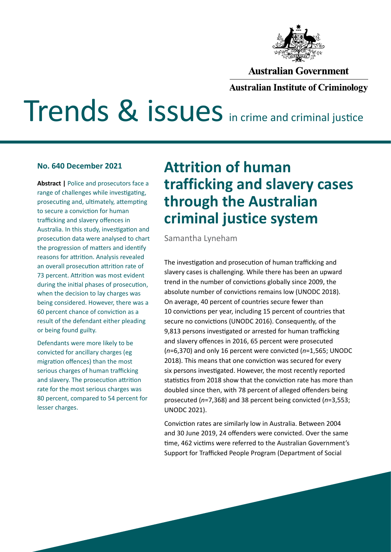

## **Australian Government**

## **Australian Institute of Criminology**

# Trends & issues in crime and criminal justice

#### **No. 640 December 2021**

**Abstract |** Police and prosecutors face a range of challenges while investigating, prosecuting and, ultimately, attempting to secure a conviction for human trafficking and slavery offences in Australia. In this study, investigation and prosecution data were analysed to chart the progression of matters and identify reasons for attrition. Analysis revealed an overall prosecution attrition rate of 73 percent. Attrition was most evident during the initial phases of prosecution, when the decision to lay charges was being considered. However, there was a 60 percent chance of conviction as a result of the defendant either pleading or being found guilty.

Defendants were more likely to be convicted for ancillary charges (eg migration offences) than the most serious charges of human trafficking and slavery. The prosecution attrition rate for the most serious charges was 80 percent, compared to 54 percent for lesser charges.

## **Attrition of human trafficking and slavery cases through the Australian criminal justice system**

Samantha Lyneham

The investigation and prosecution of human trafficking and slavery cases is challenging. While there has been an upward trend in the number of convictions globally since 2009, the absolute number of convictions remains low (UNODC 2018). On average, 40 percent of countries secure fewer than 10 convictions per year, including 15 percent of countries that secure no convictions (UNODC 2016). Consequently, of the 9,813 persons investigated or arrested for human trafficking and slavery offences in 2016, 65 percent were prosecuted (*n*=6,370) and only 16 percent were convicted (*n*=1,565; UNODC 2018). This means that one conviction was secured for every six persons investigated. However, the most recently reported statistics from 2018 show that the conviction rate has more than doubled since then, with 78 percent of alleged offenders being prosecuted (*n*=7,368) and 38 percent being convicted (*n*=3,553; UNODC 2021).

Conviction rates are similarly low in Australia. Between 2004 and 30 June 2019, 24 offenders were convicted. Over the same time, 462 victims were referred to the Australian Government's Support for Trafficked People Program (Department of Social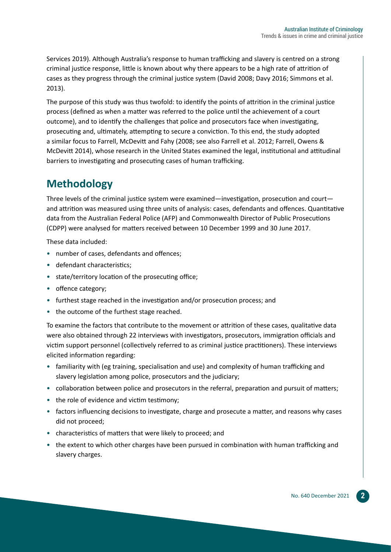Services 2019). Although Australia's response to human trafficking and slavery is centred on a strong criminal justice response, little is known about why there appears to be a high rate of attrition of cases as they progress through the criminal justice system (David 2008; Davy 2016; Simmons et al. 2013).

The purpose of this study was thus twofold: to identify the points of attrition in the criminal justice process (defined as when a matter was referred to the police until the achievement of a court outcome), and to identify the challenges that police and prosecutors face when investigating, prosecuting and, ultimately, attempting to secure a conviction. To this end, the study adopted a similar focus to Farrell, McDevitt and Fahy (2008; see also Farrell et al. 2012; Farrell, Owens & McDevitt 2014), whose research in the United States examined the legal, institutional and attitudinal barriers to investigating and prosecuting cases of human trafficking.

## **Methodology**

Three levels of the criminal justice system were examined—investigation, prosecution and court and attrition was measured using three units of analysis: cases, defendants and offences. Quantitative data from the Australian Federal Police (AFP) and Commonwealth Director of Public Prosecutions (CDPP) were analysed for matters received between 10 December 1999 and 30 June 2017.

These data included:

- number of cases, defendants and offences;
- defendant characteristics;
- state/territory location of the prosecuting office;
- offence category;
- furthest stage reached in the investigation and/or prosecution process; and
- the outcome of the furthest stage reached.

To examine the factors that contribute to the movement or attrition of these cases, qualitative data were also obtained through 22 interviews with investigators, prosecutors, immigration officials and victim support personnel (collectively referred to as criminal justice practitioners). These interviews elicited information regarding:

- familiarity with (eg training, specialisation and use) and complexity of human trafficking and slavery legislation among police, prosecutors and the judiciary;
- collaboration between police and prosecutors in the referral, preparation and pursuit of matters;
- the role of evidence and victim testimony;
- factors influencing decisions to investigate, charge and prosecute a matter, and reasons why cases did not proceed;
- characteristics of matters that were likely to proceed; and
- the extent to which other charges have been pursued in combination with human trafficking and slavery charges.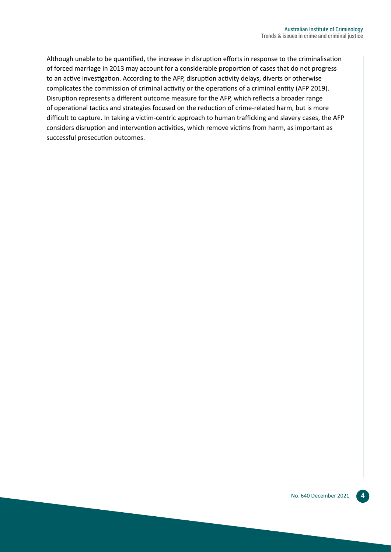Although unable to be quantified, the increase in disruption efforts in response to the criminalisation of forced marriage in 2013 may account for a considerable proportion of cases that do not progress to an active investigation. According to the AFP, disruption activity delays, diverts or otherwise complicates the commission of criminal activity or the operations of a criminal entity (AFP 2019). Disruption represents a different outcome measure for the AFP, which reflects a broader range of operational tactics and strategies focused on the reduction of crime-related harm, but is more difficult to capture. In taking a victim-centric approach to human trafficking and slavery cases, the AFP considers disruption and intervention activities, which remove victims from harm, as important as successful prosecution outcomes.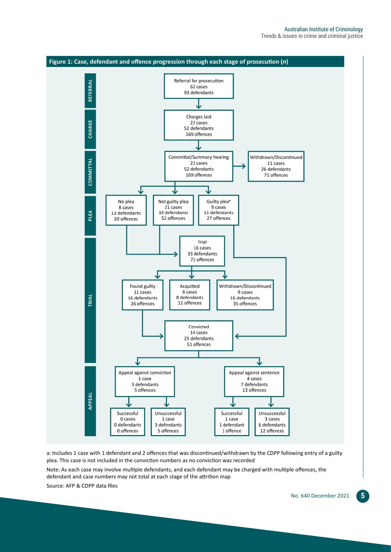

a: Includes 1 case with 1 defendant and 2 offences that was discontinued/withdrawn by the CDPP following entry of a guilty plea. This case is not included in the conviction numbers as no conviction was recorded Note: As each case may involve multiple defendants, and each defendant may be charged with multiple offences, the defendant and case numbers may not total at each stage of the attrition map Source: AFP & CDPP data files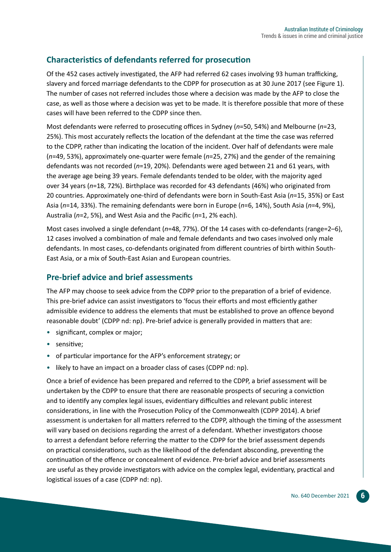## **Characteristics of defendants referred for prosecution**

Of the 452 cases actively investigated, the AFP had referred 62 cases involving 93 human trafficking, slavery and forced marriage defendants to the CDPP for prosecution as at 30 June 2017 (see Figure 1). The number of cases not referred includes those where a decision was made by the AFP to close the case, as well as those where a decision was yet to be made. It is therefore possible that more of these cases will have been referred to the CDPP since then.

Most defendants were referred to prosecuting offices in Sydney (*n*=50, 54%) and Melbourne (*n*=23, 25%). This most accurately reflects the location of the defendant at the time the case was referred to the CDPP, rather than indicating the location of the incident. Over half of defendants were male (*n*=49, 53%), approximately one-quarter were female (*n*=25, 27%) and the gender of the remaining defendants was not recorded (*n*=19, 20%). Defendants were aged between 21 and 61 years, with the average age being 39 years. Female defendants tended to be older, with the majority aged over 34 years (*n*=18, 72%). Birthplace was recorded for 43 defendants (46%) who originated from 20 countries. Approximately one-third of defendants were born in South-East Asia (*n*=15, 35%) or East Asia (*n*=14, 33%). The remaining defendants were born in Europe (*n*=6, 14%), South Asia (*n*=4, 9%), Australia (*n*=2, 5%), and West Asia and the Pacific (*n*=1, 2% each).

Most cases involved a single defendant (*n*=48, 77%). Of the 14 cases with co-defendants (range=2–6), 12 cases involved a combination of male and female defendants and two cases involved only male defendants. In most cases, co-defendants originated from different countries of birth within South-East Asia, or a mix of South-East Asian and European countries.

## **Pre-brief advice and brief assessments**

The AFP may choose to seek advice from the CDPP prior to the preparation of a brief of evidence. This pre-brief advice can assist investigators to 'focus their efforts and most efficiently gather admissible evidence to address the elements that must be established to prove an offence beyond reasonable doubt' (CDPP nd: np). Pre-brief advice is generally provided in matters that are:

- significant, complex or major;
- sensitive;
- of particular importance for the AFP's enforcement strategy; or
- likely to have an impact on a broader class of cases (CDPP nd: np).

Once a brief of evidence has been prepared and referred to the CDPP, a brief assessment will be undertaken by the CDPP to ensure that there are reasonable prospects of securing a conviction and to identify any complex legal issues, evidentiary difficulties and relevant public interest considerations, in line with the Prosecution Policy of the Commonwealth (CDPP 2014). A brief assessment is undertaken for all matters referred to the CDPP, although the timing of the assessment will vary based on decisions regarding the arrest of a defendant. Whether investigators choose to arrest a defendant before referring the matter to the CDPP for the brief assessment depends on practical considerations, such as the likelihood of the defendant absconding, preventing the continuation of the offence or concealment of evidence. Pre-brief advice and brief assessments are useful as they provide investigators with advice on the complex legal, evidentiary, practical and logistical issues of a case (CDPP nd: np).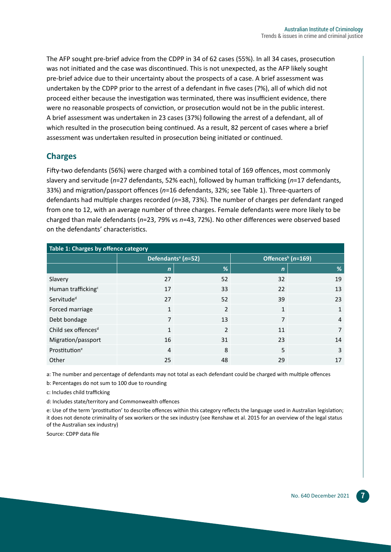The AFP sought pre-brief advice from the CDPP in 34 of 62 cases (55%). In all 34 cases, prosecution was not initiated and the case was discontinued. This is not unexpected, as the AFP likely sought pre-brief advice due to their uncertainty about the prospects of a case. A brief assessment was undertaken by the CDPP prior to the arrest of a defendant in five cases (7%), all of which did not proceed either because the investigation was terminated, there was insufficient evidence, there were no reasonable prospects of conviction, or prosecution would not be in the public interest. A brief assessment was undertaken in 23 cases (37%) following the arrest of a defendant, all of which resulted in the prosecution being continued. As a result, 82 percent of cases where a brief assessment was undertaken resulted in prosecution being initiated or continued.

## **Charges**

Fifty-two defendants (56%) were charged with a combined total of 169 offences, most commonly slavery and servitude (*n*=27 defendants, 52% each), followed by human trafficking (*n*=17 defendants, 33%) and migration/passport offences (*n*=16 defendants, 32%; see Table 1). Three-quarters of defendants had multiple charges recorded (*n*=38, 73%). The number of charges per defendant ranged from one to 12, with an average number of three charges. Female defendants were more likely to be charged than male defendants (*n*=23, 79% vs *n*=43, 72%). No other differences were observed based on the defendants' characteristics.

| Table 1: Charges by offence category |                                    |                          |                                   |    |
|--------------------------------------|------------------------------------|--------------------------|-----------------------------------|----|
|                                      | Defendants <sup>a</sup> ( $n=52$ ) |                          | Offences <sup>b</sup> ( $n=169$ ) |    |
|                                      | $\mathbf n$                        | %                        | $\mathbf n$                       | %  |
| Slavery                              | 27                                 | 52                       | 32                                | 19 |
| Human trafficking <sup>c</sup>       | 17                                 | 33                       | 22                                | 13 |
| Servitude <sup>d</sup>               | 27                                 | 52                       | 39                                | 23 |
| Forced marriage                      | 1                                  | $\overline{\mathcal{L}}$ | 1                                 | 1  |
| Debt bondage                         | 7                                  | 13                       | 7                                 | 4  |
| Child sex offences <sup>d</sup>      | $\mathbf{1}$                       | $\overline{\phantom{a}}$ | 11                                | 7  |
| Migration/passport                   | 16                                 | 31                       | 23                                | 14 |
| Prostitution <sup>e</sup>            | $\overline{4}$                     | 8                        | 5                                 | 3  |
| Other                                | 25                                 | 48                       | 29                                | 17 |

a: The number and percentage of defendants may not total as each defendant could be charged with multiple offences

b: Percentages do not sum to 100 due to rounding

c: Includes child trafficking

d: Includes state/territory and Commonwealth offences

e: Use of the term 'prostitution' to describe offences within this category reflects the language used in Australian legislation; it does not denote criminality of sex workers or the sex industry (see Renshaw et al. 2015 for an overview of the legal status of the Australian sex industry)

Source: CDPP data file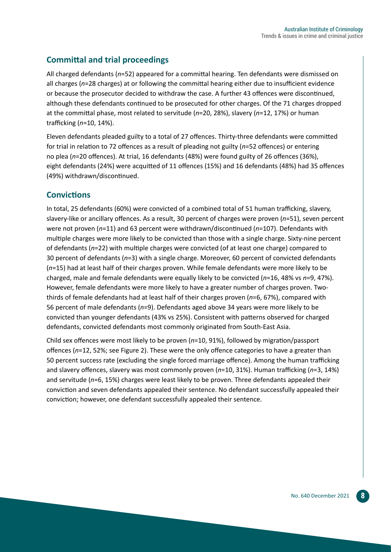## **Committal and trial proceedings**

All charged defendants (*n*=52) appeared for a committal hearing. Ten defendants were dismissed on all charges (*n*=28 charges) at or following the committal hearing either due to insufficient evidence or because the prosecutor decided to withdraw the case. A further 43 offences were discontinued, although these defendants continued to be prosecuted for other charges. Of the 71 charges dropped at the committal phase, most related to servitude (*n*=20, 28%), slavery (*n*=12, 17%) or human trafficking (*n*=10, 14%).

Eleven defendants pleaded guilty to a total of 27 offences. Thirty-three defendants were committed for trial in relation to 72 offences as a result of pleading not guilty (*n*=52 offences) or entering no plea (*n*=20 offences). At trial, 16 defendants (48%) were found guilty of 26 offences (36%), eight defendants (24%) were acquitted of 11 offences (15%) and 16 defendants (48%) had 35 offences (49%) withdrawn/discontinued.

## **Convictions**

In total, 25 defendants (60%) were convicted of a combined total of 51 human trafficking, slavery, slavery-like or ancillary offences. As a result, 30 percent of charges were proven (*n*=51), seven percent were not proven (*n*=11) and 63 percent were withdrawn/discontinued (*n*=107). Defendants with multiple charges were more likely to be convicted than those with a single charge. Sixty-nine percent of defendants (*n*=22) with multiple charges were convicted (of at least one charge) compared to 30 percent of defendants (*n*=3) with a single charge. Moreover, 60 percent of convicted defendants (*n*=15) had at least half of their charges proven. While female defendants were more likely to be charged, male and female defendants were equally likely to be convicted (*n*=16, 48% vs *n*=9, 47%). However, female defendants were more likely to have a greater number of charges proven. Twothirds of female defendants had at least half of their charges proven (*n*=6, 67%), compared with 56 percent of male defendants (*n*=9). Defendants aged above 34 years were more likely to be convicted than younger defendants (43% vs 25%). Consistent with patterns observed for charged defendants, convicted defendants most commonly originated from South-East Asia.

Child sex offences were most likely to be proven (*n*=10, 91%), followed by migration/passport offences (*n*=12, 52%; see Figure 2). These were the only offence categories to have a greater than 50 percent success rate (excluding the single forced marriage offence). Among the human trafficking and slavery offences, slavery was most commonly proven (*n*=10, 31%). Human trafficking (*n*=3, 14%) and servitude (*n*=6, 15%) charges were least likely to be proven. Three defendants appealed their conviction and seven defendants appealed their sentence. No defendant successfully appealed their conviction; however, one defendant successfully appealed their sentence.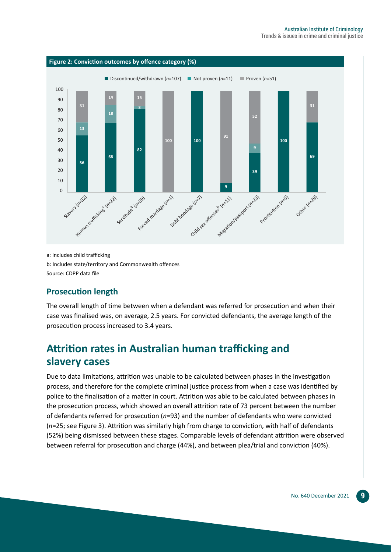

a: Includes child trafficking b: Includes state/territory and Commonwealth offences Source: CDPP data file

## **Prosecution length**

The overall length of time between when a defendant was referred for prosecution and when their case was finalised was, on average, 2.5 years. For convicted defendants, the average length of the prosecution process increased to 3.4 years.

## **Attrition rates in Australian human trafficking and slavery cases**

Due to data limitations, attrition was unable to be calculated between phases in the investigation process, and therefore for the complete criminal justice process from when a case was identified by police to the finalisation of a matter in court. Attrition was able to be calculated between phases in the prosecution process, which showed an overall attrition rate of 73 percent between the number of defendants referred for prosecution (*n*=93) and the number of defendants who were convicted (*n*=25; see Figure 3). Attrition was similarly high from charge to conviction, with half of defendants (52%) being dismissed between these stages. Comparable levels of defendant attrition were observed between referral for prosecution and charge (44%), and between plea/trial and conviction (40%).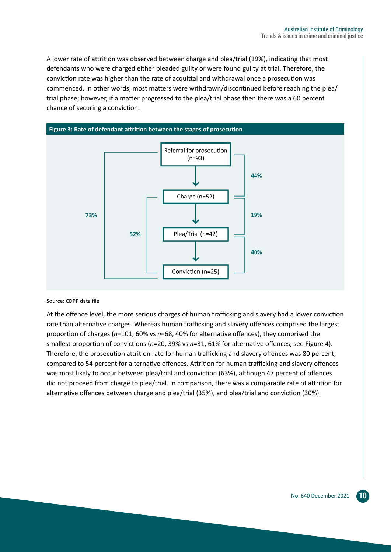A lower rate of attrition was observed between charge and plea/trial (19%), indicating that most defendants who were charged either pleaded guilty or were found guilty at trial. Therefore, the conviction rate was higher than the rate of acquittal and withdrawal once a prosecution was commenced. In other words, most matters were withdrawn/discontinued before reaching the plea/ trial phase; however, if a matter progressed to the plea/trial phase then there was a 60 percent chance of securing a conviction.



#### Source: CDPP data file

At the offence level, the more serious charges of human trafficking and slavery had a lower conviction rate than alternative charges. Whereas human trafficking and slavery offences comprised the largest proportion of charges (*n*=101, 60% vs *n*=68, 40% for alternative offences), they comprised the smallest proportion of convictions (*n*=20, 39% vs *n*=31, 61% for alternative offences; see Figure 4). Therefore, the prosecution attrition rate for human trafficking and slavery offences was 80 percent, compared to 54 percent for alternative offences. Attrition for human trafficking and slavery offences was most likely to occur between plea/trial and conviction (63%), although 47 percent of offences did not proceed from charge to plea/trial. In comparison, there was a comparable rate of attrition for alternative offences between charge and plea/trial (35%), and plea/trial and conviction (30%).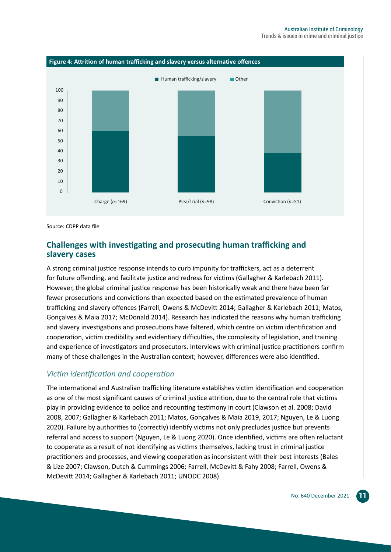

Source: CDPP data file

#### **Challenges with investigating and prosecuting human trafficking and slavery cases**

A strong criminal justice response intends to curb impunity for traffickers, act as a deterrent for future offending, and facilitate justice and redress for victims (Gallagher & Karlebach 2011). However, the global criminal justice response has been historically weak and there have been far fewer prosecutions and convictions than expected based on the estimated prevalence of human trafficking and slavery offences (Farrell, Owens & McDevitt 2014; Gallagher & Karlebach 2011; Matos, Gonçalves & Maia 2017; McDonald 2014). Research has indicated the reasons why human trafficking and slavery investigations and prosecutions have faltered, which centre on victim identification and cooperation, victim credibility and evidentiary difficulties, the complexity of legislation, and training and experience of investigators and prosecutors. Interviews with criminal justice practitioners confirm many of these challenges in the Australian context; however, differences were also identified.

#### *Victim identification and cooperation*

The international and Australian trafficking literature establishes victim identification and cooperation as one of the most significant causes of criminal justice attrition, due to the central role that victims play in providing evidence to police and recounting testimony in court (Clawson et al. 2008; David 2008, 2007; Gallagher & Karlebach 2011; Matos, Gonçalves & Maia 2019, 2017; Nguyen, Le & Luong 2020). Failure by authorities to (correctly) identify victims not only precludes justice but prevents referral and access to support (Nguyen, Le & Luong 2020). Once identified, victims are often reluctant to cooperate as a result of not identifying as victims themselves, lacking trust in criminal justice practitioners and processes, and viewing cooperation as inconsistent with their best interests (Bales & Lize 2007; Clawson, Dutch & Cummings 2006; Farrell, McDevitt & Fahy 2008; Farrell, Owens & McDevitt 2014; Gallagher & Karlebach 2011; UNODC 2008).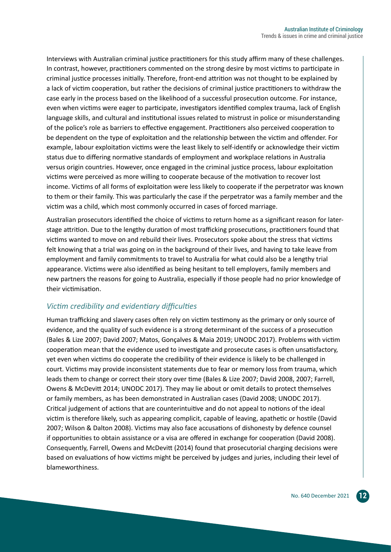Interviews with Australian criminal justice practitioners for this study affirm many of these challenges. In contrast, however, practitioners commented on the strong desire by most victims to participate in criminal justice processes initially. Therefore, front-end attrition was not thought to be explained by a lack of victim cooperation, but rather the decisions of criminal justice practitioners to withdraw the case early in the process based on the likelihood of a successful prosecution outcome. For instance, even when victims were eager to participate, investigators identified complex trauma, lack of English language skills, and cultural and institutional issues related to mistrust in police or misunderstanding of the police's role as barriers to effective engagement. Practitioners also perceived cooperation to be dependent on the type of exploitation and the relationship between the victim and offender. For example, labour exploitation victims were the least likely to self-identify or acknowledge their victim status due to differing normative standards of employment and workplace relations in Australia versus origin countries. However, once engaged in the criminal justice process, labour exploitation victims were perceived as more willing to cooperate because of the motivation to recover lost income. Victims of all forms of exploitation were less likely to cooperate if the perpetrator was known to them or their family. This was particularly the case if the perpetrator was a family member and the victim was a child, which most commonly occurred in cases of forced marriage.

Australian prosecutors identified the choice of victims to return home as a significant reason for laterstage attrition. Due to the lengthy duration of most trafficking prosecutions, practitioners found that victims wanted to move on and rebuild their lives. Prosecutors spoke about the stress that victims felt knowing that a trial was going on in the background of their lives, and having to take leave from employment and family commitments to travel to Australia for what could also be a lengthy trial appearance. Victims were also identified as being hesitant to tell employers, family members and new partners the reasons for going to Australia, especially if those people had no prior knowledge of their victimisation.

## *Victim credibility and evidentiary difficulties*

Human trafficking and slavery cases often rely on victim testimony as the primary or only source of evidence, and the quality of such evidence is a strong determinant of the success of a prosecution (Bales & Lize 2007; David 2007; Matos, Gonçalves & Maia 2019; UNODC 2017). Problems with victim cooperation mean that the evidence used to investigate and prosecute cases is often unsatisfactory, yet even when victims do cooperate the credibility of their evidence is likely to be challenged in court. Victims may provide inconsistent statements due to fear or memory loss from trauma, which leads them to change or correct their story over time (Bales & Lize 2007; David 2008, 2007; Farrell, Owens & McDevitt 2014; UNODC 2017). They may lie about or omit details to protect themselves or family members, as has been demonstrated in Australian cases (David 2008; UNODC 2017). Critical judgement of actions that are counterintuitive and do not appeal to notions of the ideal victim is therefore likely, such as appearing complicit, capable of leaving, apathetic or hostile (David 2007; Wilson & Dalton 2008). Victims may also face accusations of dishonesty by defence counsel if opportunities to obtain assistance or a visa are offered in exchange for cooperation (David 2008). Consequently, Farrell, Owens and McDevitt (2014) found that prosecutorial charging decisions were based on evaluations of how victims might be perceived by judges and juries, including their level of blameworthiness.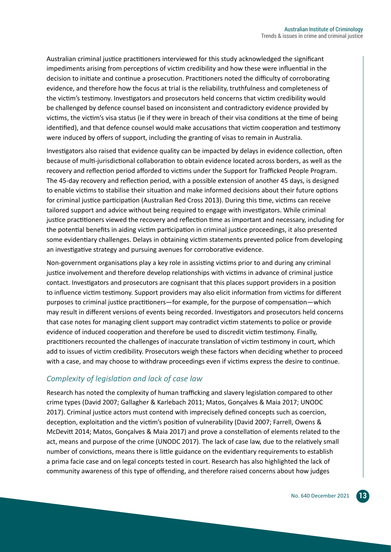Australian criminal justice practitioners interviewed for this study acknowledged the significant impediments arising from perceptions of victim credibility and how these were influential in the decision to initiate and continue a prosecution. Practitioners noted the difficulty of corroborating evidence, and therefore how the focus at trial is the reliability, truthfulness and completeness of the victim's testimony. Investigators and prosecutors held concerns that victim credibility would be challenged by defence counsel based on inconsistent and contradictory evidence provided by victims, the victim's visa status (ie if they were in breach of their visa conditions at the time of being identified), and that defence counsel would make accusations that victim cooperation and testimony were induced by offers of support, including the granting of visas to remain in Australia.

Investigators also raised that evidence quality can be impacted by delays in evidence collection, often because of multi-jurisdictional collaboration to obtain evidence located across borders, as well as the recovery and reflection period afforded to victims under the Support for Trafficked People Program. The 45-day recovery and reflection period, with a possible extension of another 45 days, is designed to enable victims to stabilise their situation and make informed decisions about their future options for criminal justice participation (Australian Red Cross 2013). During this time, victims can receive tailored support and advice without being required to engage with investigators. While criminal justice practitioners viewed the recovery and reflection time as important and necessary, including for the potential benefits in aiding victim participation in criminal justice proceedings, it also presented some evidentiary challenges. Delays in obtaining victim statements prevented police from developing an investigative strategy and pursuing avenues for corroborative evidence.

Non-government organisations play a key role in assisting victims prior to and during any criminal justice involvement and therefore develop relationships with victims in advance of criminal justice contact. Investigators and prosecutors are cognisant that this places support providers in a position to influence victim testimony. Support providers may also elicit information from victims for different purposes to criminal justice practitioners—for example, for the purpose of compensation—which may result in different versions of events being recorded. Investigators and prosecutors held concerns that case notes for managing client support may contradict victim statements to police or provide evidence of induced cooperation and therefore be used to discredit victim testimony. Finally, practitioners recounted the challenges of inaccurate translation of victim testimony in court, which add to issues of victim credibility. Prosecutors weigh these factors when deciding whether to proceed with a case, and may choose to withdraw proceedings even if victims express the desire to continue.

## *Complexity of legislation and lack of case law*

Research has noted the complexity of human trafficking and slavery legislation compared to other crime types (David 2007; Gallagher & Karlebach 2011; Matos, Gonçalves & Maia 2017; UNODC 2017). Criminal justice actors must contend with imprecisely defined concepts such as coercion, deception, exploitation and the victim's position of vulnerability (David 2007; Farrell, Owens & McDevitt 2014; Matos, Gonçalves & Maia 2017) and prove a constellation of elements related to the act, means and purpose of the crime (UNODC 2017). The lack of case law, due to the relatively small number of convictions, means there is little guidance on the evidentiary requirements to establish a prima facie case and on legal concepts tested in court. Research has also highlighted the lack of community awareness of this type of offending, and therefore raised concerns about how judges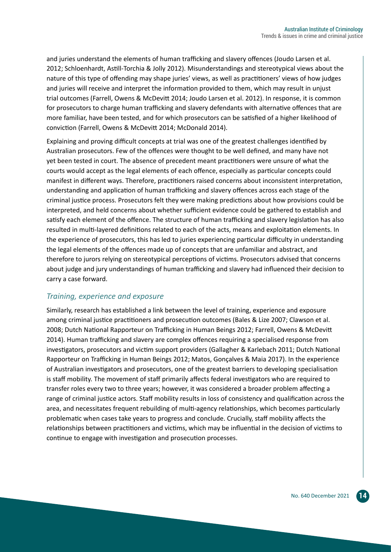and juries understand the elements of human trafficking and slavery offences (Joudo Larsen et al. 2012; Schloenhardt, Astill-Torchia & Jolly 2012). Misunderstandings and stereotypical views about the nature of this type of offending may shape juries' views, as well as practitioners' views of how judges and juries will receive and interpret the information provided to them, which may result in unjust trial outcomes (Farrell, Owens & McDevitt 2014; Joudo Larsen et al. 2012). In response, it is common for prosecutors to charge human trafficking and slavery defendants with alternative offences that are more familiar, have been tested, and for which prosecutors can be satisfied of a higher likelihood of conviction (Farrell, Owens & McDevitt 2014; McDonald 2014).

Explaining and proving difficult concepts at trial was one of the greatest challenges identified by Australian prosecutors. Few of the offences were thought to be well defined, and many have not yet been tested in court. The absence of precedent meant practitioners were unsure of what the courts would accept as the legal elements of each offence, especially as particular concepts could manifest in different ways. Therefore, practitioners raised concerns about inconsistent interpretation, understanding and application of human trafficking and slavery offences across each stage of the criminal justice process. Prosecutors felt they were making predictions about how provisions could be interpreted, and held concerns about whether sufficient evidence could be gathered to establish and satisfy each element of the offence. The structure of human trafficking and slavery legislation has also resulted in multi-layered definitions related to each of the acts, means and exploitation elements. In the experience of prosecutors, this has led to juries experiencing particular difficulty in understanding the legal elements of the offences made up of concepts that are unfamiliar and abstract, and therefore to jurors relying on stereotypical perceptions of victims. Prosecutors advised that concerns about judge and jury understandings of human trafficking and slavery had influenced their decision to carry a case forward.

## *Training, experience and exposure*

Similarly, research has established a link between the level of training, experience and exposure among criminal justice practitioners and prosecution outcomes (Bales & Lize 2007; Clawson et al. 2008; Dutch National Rapporteur on Trafficking in Human Beings 2012; Farrell, Owens & McDevitt 2014). Human trafficking and slavery are complex offences requiring a specialised response from investigators, prosecutors and victim support providers (Gallagher & Karlebach 2011; Dutch National Rapporteur on Trafficking in Human Beings 2012; Matos, Gonçalves & Maia 2017). In the experience of Australian investigators and prosecutors, one of the greatest barriers to developing specialisation is staff mobility. The movement of staff primarily affects federal investigators who are required to transfer roles every two to three years; however, it was considered a broader problem affecting a range of criminal justice actors. Staff mobility results in loss of consistency and qualification across the area, and necessitates frequent rebuilding of multi-agency relationships, which becomes particularly problematic when cases take years to progress and conclude. Crucially, staff mobility affects the relationships between practitioners and victims, which may be influential in the decision of victims to continue to engage with investigation and prosecution processes.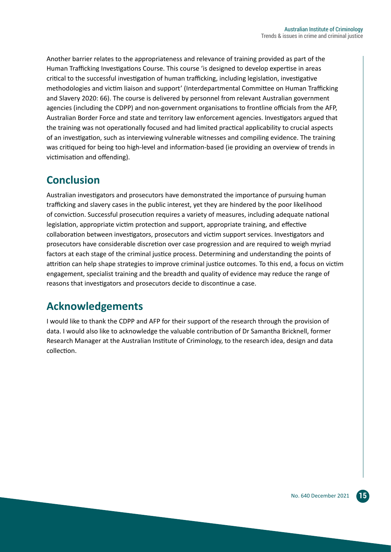Another barrier relates to the appropriateness and relevance of training provided as part of the Human Trafficking Investigations Course. This course 'is designed to develop expertise in areas critical to the successful investigation of human trafficking, including legislation, investigative methodologies and victim liaison and support' (Interdepartmental Committee on Human Trafficking and Slavery 2020: 66). The course is delivered by personnel from relevant Australian government agencies (including the CDPP) and non-government organisations to frontline officials from the AFP, Australian Border Force and state and territory law enforcement agencies. Investigators argued that the training was not operationally focused and had limited practical applicability to crucial aspects of an investigation, such as interviewing vulnerable witnesses and compiling evidence. The training was critiqued for being too high-level and information-based (ie providing an overview of trends in victimisation and offending).

## **Conclusion**

Australian investigators and prosecutors have demonstrated the importance of pursuing human trafficking and slavery cases in the public interest, yet they are hindered by the poor likelihood of conviction. Successful prosecution requires a variety of measures, including adequate national legislation, appropriate victim protection and support, appropriate training, and effective collaboration between investigators, prosecutors and victim support services. Investigators and prosecutors have considerable discretion over case progression and are required to weigh myriad factors at each stage of the criminal justice process. Determining and understanding the points of attrition can help shape strategies to improve criminal justice outcomes. To this end, a focus on victim engagement, specialist training and the breadth and quality of evidence may reduce the range of reasons that investigators and prosecutors decide to discontinue a case.

## **Acknowledgements**

I would like to thank the CDPP and AFP for their support of the research through the provision of data. I would also like to acknowledge the valuable contribution of Dr Samantha Bricknell, former Research Manager at the Australian Institute of Criminology, to the research idea, design and data collection.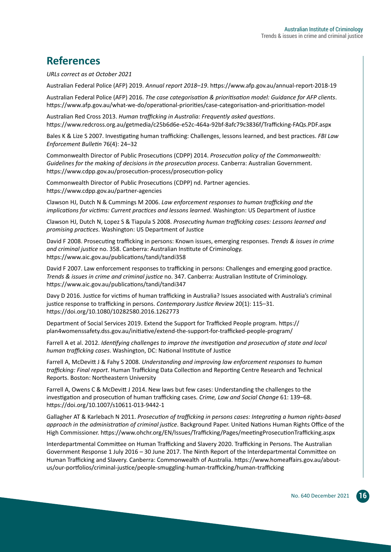## **References**

*URLs correct as at October 2021*

Australian Federal Police (AFP) 2019. *Annual report 2018–19*.<https://www.afp.gov.au/annual-report-2018-19>

Australian Federal Police (AFP) 2016. *The case categorisation & prioritisation model: Guidance for AFP clients*. <https://www.afp.gov.au/what-we-do/operational-priorities/case-categorisation-and-prioritisation-model>

Australian Red Cross 2013. *Human trafficking in Australia: Frequently asked questions*. <https://www.redcross.org.au/getmedia/c25b6d6e-e52c-464a-92bf-8afc79c3836f/Trafficking-FAQs.PDF.aspx>

Bales K & Lize S 2007. Investigating human trafficking: Challenges, lessons learned, and best practices. *FBI Law Enforcement Bulletin* 76(4): 24–32

Commonwealth Director of Public Prosecutions (CDPP) 2014. *Prosecution policy of the Commonwealth: Guidelines for the making of decisions in the prosecution process*. Canberra: Australian Government. <https://www.cdpp.gov.au/prosecution-process/prosecution-policy>

Commonwealth Director of Public Prosecutions (CDPP) nd. Partner agencies. <https://www.cdpp.gov.au/partner-agencies>

Clawson HJ, Dutch N & Cummings M 2006. *Law enforcement responses to human trafficking and the implications for victims: Current practices and lessons learned*. Washington: US Department of Justice

Clawson HJ, Dutch N, Lopez S & Tiapula S 2008. *Prosecuting human trafficking cases: Lessons learned and promising practices*. Washington: US Department of Justice

David F 2008. Prosecuting trafficking in persons: Known issues, emerging responses. *Trends & issues in crime and criminal justice* no. 358. Canberra: Australian Institute of Criminology. <https://www.aic.gov.au/publications/tandi/tandi358>

David F 2007. Law enforcement responses to trafficking in persons: Challenges and emerging good practice. *Trends & issues in crime and criminal justice* no. 347. Canberra: Australian Institute of Criminology. <https://www.aic.gov.au/publications/tandi/tandi347>

Davy D 2016. Justice for victims of human trafficking in Australia? Issues associated with Australia's criminal justice response to trafficking in persons. *Contemporary Justice Review* 20(1): 115–31. <https://doi.org/10.1080/10282580.2016.1262773>

Department of Social Services 2019. Extend the Support for Trafficked People program. [https://](https://plan4womenssafety.dss.gov.au/initiative/extend-the-support-for-trafficked-people-program/) [plan4womenssafety.dss.gov.au/initiative/extend-the-support-for-trafficked-people-program/](https://plan4womenssafety.dss.gov.au/initiative/extend-the-support-for-trafficked-people-program/)

Farrell A et al. 2012. *Identifying challenges to improve the investigation and prosecution of state and local human trafficking cases*. Washington, DC: National Institute of Justice

Farrell A, McDevitt J & Fahy S 2008. *Understanding and improving law enforcement responses to human trafficking: Final report*. Human Trafficking Data Collection and Reporting Centre Research and Technical Reports. Boston: Northeastern University

Farrell A, Owens C & McDevitt J 2014. New laws but few cases: Understanding the challenges to the investigation and prosecution of human trafficking cases. *Crime, Law and Social Change* 61: 139–68. <https://doi.org/10.1007/s10611-013-9442-1>

Gallagher AT & Karlebach N 2011. *Prosecution of trafficking in persons cases: Integrating a human rights-based approach in the administration of criminal justice*. Background Paper. United Nations Human Rights Office of the High Commissioner.<https://www.ohchr.org/EN/Issues/Trafficking/Pages/meetingProsecutionTrafficking.aspx>

Interdepartmental Committee on Human Trafficking and Slavery 2020. Trafficking in Persons. The Australian Government Response 1 July 2016 – 30 June 2017. The Ninth Report of the Interdepartmental Committee on Human Trafficking and Slavery. Canberra: Commonwealth of Australia. [https://www.homeaffairs.gov.au/about](https://www.homeaffairs.gov.au/about-us/our-portfolios/criminal-justice/people-smuggling-human-trafficking/human-trafficking)[us/our-portfolios/criminal-justice/people-smuggling-human-trafficking/human-trafficking](https://www.homeaffairs.gov.au/about-us/our-portfolios/criminal-justice/people-smuggling-human-trafficking/human-trafficking)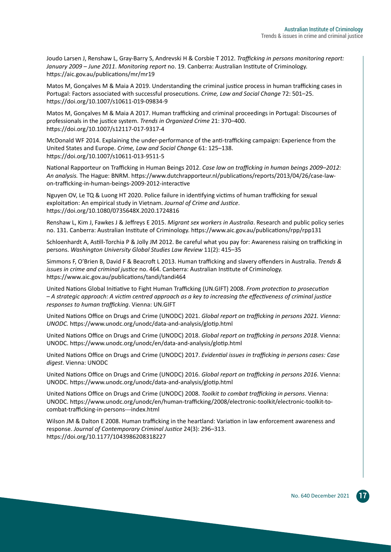Joudo Larsen J, Renshaw L, Gray-Barry S, Andrevski H & Corsbie T 2012. *Trafficking in persons monitoring report: January 2009 – June 2011*. *Monitoring report* no. 19. Canberra: Australian Institute of Criminology. <https://aic.gov.au/publications/mr/mr19>

Matos M, Gonçalves M & Maia A 2019. Understanding the criminal justice process in human trafficking cases in Portugal: Factors associated with successful prosecutions. *Crime, Law and Social Change* 72: 501–25. <https://doi.org/10.1007/s10611-019-09834-9>

Matos M, Gonçalves M & Maia A 2017. Human trafficking and criminal proceedings in Portugal: Discourses of professionals in the justice system. *Trends in Organized Crime* 21: 370–400. <https://doi.org/10.1007/s12117-017-9317-4>

McDonald WF 2014. Explaining the under-performance of the anti-trafficking campaign: Experience from the United States and Europe. *Crime, Law and Social Change* 61: 125–138. <https://doi.org/10.1007/s10611-013-9511-5>

National Rapporteur on Trafficking in Human Beings 2012. *Case law on trafficking in human beings 2009–2012: An analysis.* The Hague: BNRM. [https://www.dutchrapporteur.nl/publications/reports/2013/04/26/case-law](https://www.dutchrapporteur.nl/publications/reports/2013/04/26/case-law-on-trafficking-in-human-beings-2009-2012-interactive)[on-trafficking-in-human-beings-2009-2012-interactive](https://www.dutchrapporteur.nl/publications/reports/2013/04/26/case-law-on-trafficking-in-human-beings-2009-2012-interactive)

Nguyen OV, Le TQ & Luong HT 2020. Police failure in identifying victims of human trafficking for sexual exploitation: An empirical study in Vietnam. *Journal of Crime and Justice*. <https://doi.org/10.1080/0735648X.2020.1724816>

Renshaw L, Kim J, Fawkes J & Jeffreys E 2015. *Migrant sex workers in Australia*. Research and public policy series no. 131. Canberra: Australian Institute of Criminology.<https://www.aic.gov.au/publications/rpp/rpp131>

Schloenhardt A, Astill-Torchia P & Jolly JM 2012. Be careful what you pay for: Awareness raising on trafficking in persons. *Washington University Global Studies Law Review* 11(2): 415–35

Simmons F, O'Brien B, David F & Beacroft L 2013. Human trafficking and slavery offenders in Australia. *Trends & issues in crime and criminal justice* no. 464. Canberra: Australian Institute of Criminology. <https://www.aic.gov.au/publications/tandi/tandi464>

United Nations Global Initiative to Fight Human Trafficking (UN.GIFT) 2008. *From protection to prosecution – A strategic approach: A victim centred approach as a key to increasing the effectiveness of criminal justice responses to human trafficking*. Vienna: UN.GIFT

United Nations Office on Drugs and Crime (UNODC) 2021. *Global report on trafficking in persons 2021. Vienna: UNODC.* <https://www.unodc.org/unodc/data-and-analysis/glotip.html>

United Nations Office on Drugs and Crime (UNODC) 2018. *Global report on trafficking in persons 2018*. Vienna: UNODC. <https://www.unodc.org/unodc/en/data-and-analysis/glotip.html>

United Nations Office on Drugs and Crime (UNODC) 2017. *Evidential issues in trafficking in persons cases: Case digest*. Vienna: UNODC

United Nations Office on Drugs and Crime (UNODC) 2016. *Global report on trafficking in persons 2016*. Vienna: UNODC. <https://www.unodc.org/unodc/data-and-analysis/glotip.html>

United Nations Office on Drugs and Crime (UNODC) 2008. *Toolkit to combat trafficking in persons*. Vienna: UNODC. [https://www.unodc.org/unodc/en/human-trafficking/2008/electronic-toolkit/electronic-toolkit-to](https://www.unodc.org/unodc/en/human-trafficking/2008/electronic-toolkit/electronic-toolkit-to-combat-trafficking-in-persons---index.html)[combat-trafficking-in-persons---index.html](https://www.unodc.org/unodc/en/human-trafficking/2008/electronic-toolkit/electronic-toolkit-to-combat-trafficking-in-persons---index.html)

Wilson JM & Dalton E 2008. Human trafficking in the heartland: Variation in law enforcement awareness and response. *Journal of Contemporary Criminal Justice* 24(3): 296–313. <https://doi.org/10.1177/1043986208318227>